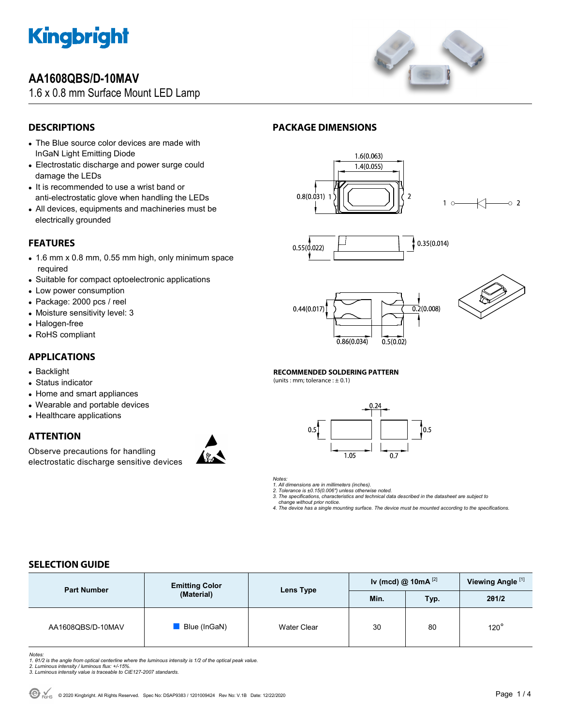

## **AA1608QBS/D-10MAV**

1.6 x 0.8 mm Surface Mount LED Lamp



## **DESCRIPTIONS**

- The Blue source color devices are made with InGaN Light Emitting Diode
- Electrostatic discharge and power surge could damage the LEDs
- It is recommended to use a wrist band or anti-electrostatic glove when handling the LEDs
- All devices, equipments and machineries must be electrically grounded

## **FEATURES**

- 1.6 mm x 0.8 mm, 0.55 mm high, only minimum space required
- Suitable for compact optoelectronic applications
- Low power consumption
- Package: 2000 pcs / reel
- Moisture sensitivity level: 3
- Halogen-free
- RoHS compliant

### **APPLICATIONS**

- Backlight
- Status indicator
- Home and smart appliances
- Wearable and portable devices
- Healthcare applications

## **ATTENTION**

Observe precautions for handling electrostatic discharge sensitive devices



## **PACKAGE DIMENSIONS**









 $\circ$  2

#### **RECOMMENDED SOLDERING PATTERN**

(units : mm; tolerance :  $\pm$  0.1)





*1. All dimensions are in millimeters (inches).* 

- 
- *2. Tolerance is ±0.15(0.006") unless otherwise noted. 3. The specifications, characteristics and technical data described in the datasheet are subject to change without prior notice.*

*4. The device has a single mounting surface. The device must be mounted according to the specifications.* 

## **SELECTION GUIDE**

| <b>Part Number</b> | <b>Emitting Color</b><br>(Material) | Lens Type          | Iv (mcd) @ $10mA$ <sup>[2]</sup> |      | Viewing Angle <sup>[1]</sup> |
|--------------------|-------------------------------------|--------------------|----------------------------------|------|------------------------------|
|                    |                                     |                    | Min.                             | Typ. | 201/2                        |
| AA1608QBS/D-10MAV  | Blue (InGaN)                        | <b>Water Clear</b> | 30                               | 80   | $120^\circ$                  |

Notes:<br>1. 81/2 is the angle from optical centerline where the luminous intensity is 1/2 of the optical peak value.<br>2. Luminous intensity / luminous flux: +/-15%.<br>3. Luminous intensity value is traceable to CIE127-2007 stan

- 
-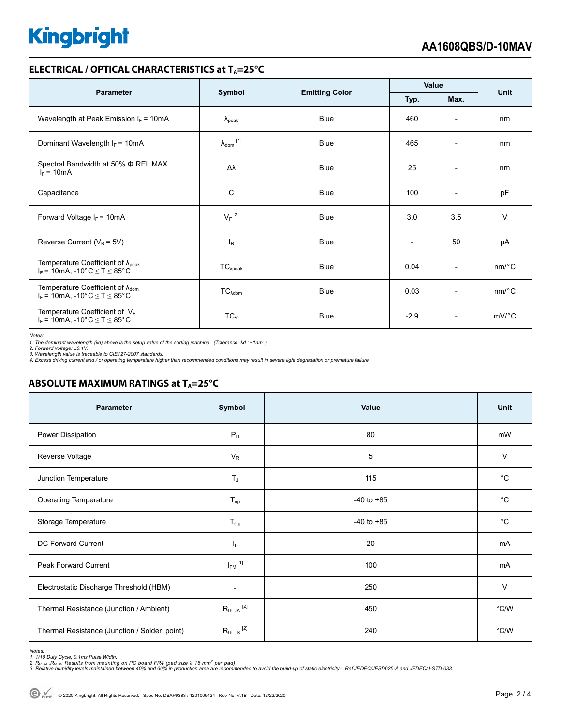# **Kingbright**

#### **ELECTRICAL / OPTICAL CHARACTERISTICS at T<sub>A</sub>=25°C**

| <b>Parameter</b>                                                                           | Symbol               |                       | Value                    |                          | Unit                  |
|--------------------------------------------------------------------------------------------|----------------------|-----------------------|--------------------------|--------------------------|-----------------------|
|                                                                                            |                      | <b>Emitting Color</b> | Typ.                     | Max.                     |                       |
| Wavelength at Peak Emission $I_F = 10mA$                                                   | $\lambda_{\rm peak}$ | <b>Blue</b>           | 460                      | $\overline{\phantom{0}}$ | nm                    |
| Dominant Wavelength $I_F = 10mA$                                                           | $\lambda_{dom}$ [1]  | <b>Blue</b>           | 465                      | $\overline{\phantom{a}}$ | nm                    |
| Spectral Bandwidth at 50% $\Phi$ REL MAX<br>$I_F = 10mA$                                   | Δλ                   | <b>Blue</b>           | 25                       | $\overline{\phantom{0}}$ | nm                    |
| Capacitance                                                                                | С                    | <b>Blue</b>           | 100                      | $\overline{\phantom{a}}$ | pF                    |
| Forward Voltage $I_F = 10mA$                                                               | $V_F$ <sup>[2]</sup> | <b>Blue</b>           | 3.0                      | 3.5                      | $\vee$                |
| Reverse Current ( $V_R$ = 5V)                                                              | l <sub>R</sub>       | <b>Blue</b>           | $\overline{\phantom{a}}$ | 50                       | μA                    |
| Temperature Coefficient of $\lambda_{peak}$<br>$I_F$ = 10mA, -10°C $\le T \le 85$ °C       | $TC_{\lambda peak}$  | <b>Blue</b>           | 0.04                     | $\overline{\phantom{a}}$ | $nm$ <sup>o</sup> $C$ |
| Temperature Coefficient of $\lambda_{\text{dom}}$<br>$I_F$ = 10mA, -10°C $\le T \le 85$ °C | $TC_{\lambda dom}$   | <b>Blue</b>           | 0.03                     | $\overline{\phantom{0}}$ | $nm$ <sup>o</sup> $C$ |
| Temperature Coefficient of $V_F$<br>$I_F$ = 10mA, -10°C $\leq T \leq 85$ °C                | $TC_{V}$             | <b>Blue</b>           | $-2.9$                   | $\overline{\phantom{a}}$ | $mV$ °C               |

*Notes:* 

1. The dominant wavelength (λd) above is the setup value of the sorting machine. (Tolerance λd : ±1nm. )<br>2. Forward voltage: ±0.1V.<br>3. Wavelength value is traceable to CIE127-2007 standards.<br>4. Excess driving current and

#### **ABSOLUTE MAXIMUM RATINGS at T<sub>A</sub>=25°C**

| <b>Parameter</b>                             | Symbol                  | Value          | <b>Unit</b> |
|----------------------------------------------|-------------------------|----------------|-------------|
| Power Dissipation                            | $P_D$                   | 80             | mW          |
| Reverse Voltage                              | $V_{R}$                 | 5              | $\vee$      |
| Junction Temperature                         | $T_{\mathsf{J}}$        | 115            | $^{\circ}C$ |
| <b>Operating Temperature</b>                 | $T_{op}$                | $-40$ to $+85$ | $^{\circ}C$ |
| Storage Temperature                          | $T_{\text{stg}}$        | $-40$ to $+85$ | $^{\circ}C$ |
| DC Forward Current                           | IF.                     | 20             | mA          |
| Peak Forward Current                         | $I_{FM}$ <sup>[1]</sup> | 100            | mA          |
| Electrostatic Discharge Threshold (HBM)      | $\blacksquare$          | 250            | V           |
| Thermal Resistance (Junction / Ambient)      | $R_{th}$ JA $^{[2]}$    | 450            | °C/W        |
| Thermal Resistance (Junction / Solder point) | $R_{th}$ JS $^{[2]}$    | 240            | °C/W        |

Notes:<br>1. 1/10 Duty Cycle, 0.1ms Pulse Width.<br>2. R<sub>th JA</sub> ,R<sub>th JS</sub> Results from mounting on PC board FR4 (pad size ≥ 16 mm<sup>2</sup> per pad).<br>3. Relative humidity levels maintained between 40% and 60% in production area are re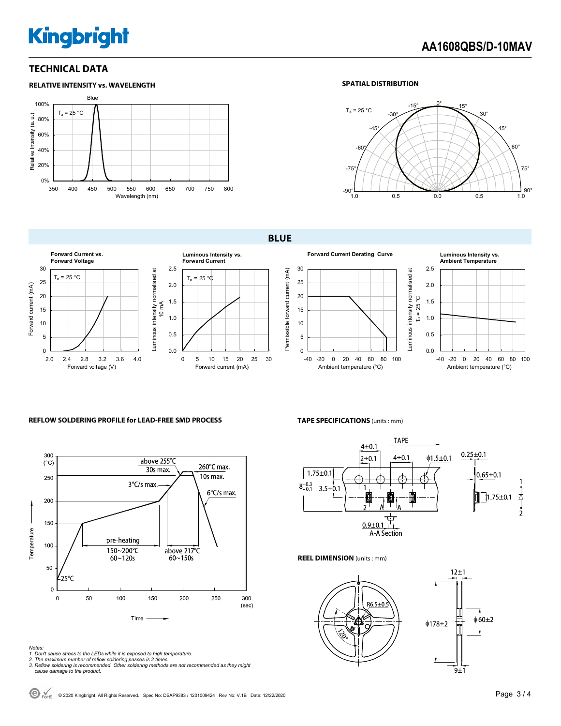# **Kingbright**

-40 -20 0 20 40 60 80 100 Ambient temperature (°C)

**Ambient Temperature**

### **TECHNICAL DATA**



#### **SPATIAL DISTRIBUTION**



**BLUE** 



#### **REFLOW SOLDERING PROFILE for LEAD-FREE SMD PROCESS**



#### *Notes:*

- *1. Don't cause stress to the LEDs while it is exposed to high temperature.*
- 
- *2. The maximum number of reflow soldering passes is 2 times. 3. Reflow soldering is recommended. Other soldering methods are not recommended as they might cause damage to the product.*

#### **TAPE SPECIFICATIONS** (units : mm)



**REEL DIMENSION** (units : mm)